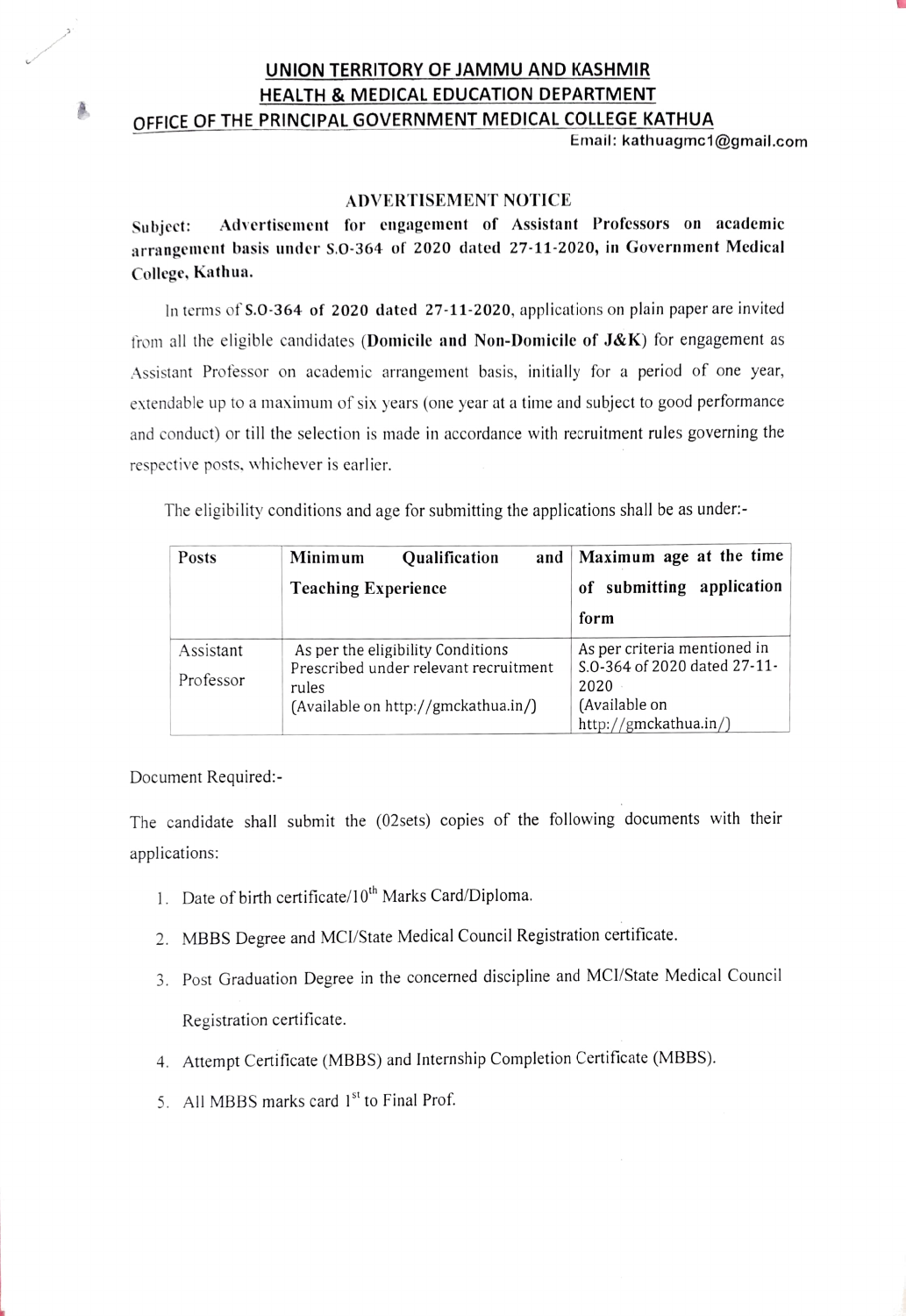### UNION TERRITORY OF JAMMU AND KASHMIR HEALTH & MEDICAL EDUCATION DEPARTMENT OFFICE OF THE PRINCIPAL GOVERNMENT MEDICAL COLLEGE KATHUA

Email: kathuagmc1@gmail.co

#### ADVERTISEMENT NOTICE

Subject: Advertisement for engagement of Assistant Professors on academic arrangement basis under s.0-364 of 2020 dated 27-11-2020, in Government Medical College, Kathua.

In terms of S.0-364 of 2020 dated 27-11-2020, applications on plain paper are invited from all the eligible candidates (Domicile and Non-Domicile of  $J\&K$ ) for engagement as Assistant Professor on academic arrangement basis, initially for a period of one year, extendable up to a maximum of six years (one year at a time and subject to good performance and conduct) or till the selection is made in accordance with recruitment rules governing the respective posts, whichever is earlier

The eligibility eonditions and age for submitting the applications shall be as under:

| <b>Posts</b> | Minimum<br>Qualification<br>and                                            | Maximum age at the time                                      |
|--------------|----------------------------------------------------------------------------|--------------------------------------------------------------|
|              | <b>Teaching Experience</b>                                                 | of submitting application                                    |
|              |                                                                            | form                                                         |
| Assistant    | As per the eligibility Conditions<br>Prescribed under relevant recruitment | As per criteria mentioned in<br>S.O-364 of 2020 dated 27-11- |
| Professor    | rules                                                                      | 2020                                                         |
|              | (Available on http://gmckathua.in/)                                        | (Available on                                                |
|              |                                                                            | http://gmckathua.in/)                                        |

Document Required:-

The candidate shall submit the (02sets) copies of the following documents with their applications:

- 1. Date of birth certificate/10<sup>th</sup> Marks Card/Diploma.
- 2. MBBS Degree and Mc/State Medical Council Registration certificate.
- 3. Post Graduation Degree in the concerned discipline and MCI/State Medical Council Registration certificate.
- 4. Attempt Certificate (MBBS) and Internship Completion Certificate (MBBS).
- 5. All MBBS marks card  $1<sup>st</sup>$  to Final Prof.

氲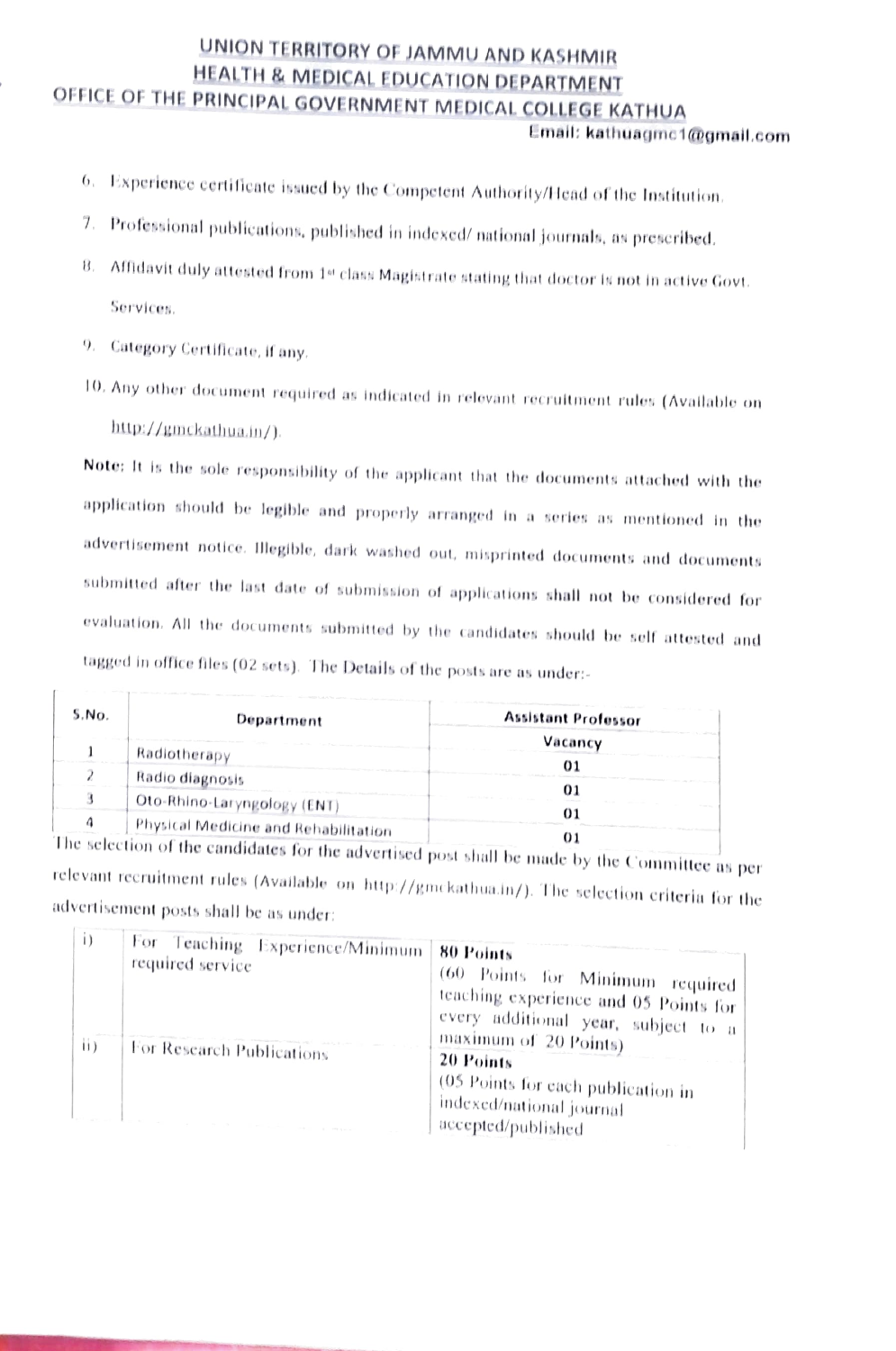# UNION TERRITORY OF JAMMU AND KASHMIR<br>HEALTH & MEDICAL EDUCATION DEPARTMENT OFFICE OF THE PRINCIPAL GOVERNMENT MEDICAL COLLEGE KATHUA

#### Email: kathuagme1@gmail.com

- 6. Experience certificate issued by the Competent Authority/Head of the Institution.
- 7. Professional publications, published in indexed/ national journals, as preseribed.
- $8.$  Affidavit duly attested from  $1st$  class Magistrate stating that doctor is not in active Govt. Services.
- 9. Category Certificate, if any.

 $\Gamma$ 

T0, Any other doument required as indicated in relovant recruitment rules (Availatblo on http://gmckathua.in/).

Note: It is the sole responsibility of the applicant that the documents attached with the application should be legible and properly arranged in a series as mentioned in the dvertisement notice. Illegible, dark washed out, misprinted documents and documents submitted after the last date of submission of applications shall not be considered for evaluation. All the documents submitted by the candidates should be selt attested and tagged in office files (02 sets). The Details of the posts are as under:

| S.No. | Department                                      | <b>Assistant Professor</b> |
|-------|-------------------------------------------------|----------------------------|
|       |                                                 | Vacancy                    |
|       | Radiotherapy                                    |                            |
|       | Radio diagnosis                                 |                            |
|       | . Oto-Rhino-Laryngology (ENT)                   |                            |
|       | Physical Medicine and Rehabilitation            |                            |
|       | The selection of the $\cdots$ if $x = e^{-x}$ . |                            |

The selection of the candidates for the advertised post shall be made by the Committee as per relevant recruitment rules (Available on http://gmckathua.in/). The selection criteria for the advertisement posts shall be as under:

| $\mathbf{1}$<br>$\mathbf{ii}$ | For Teaching Experience/Minimum<br>required service | 80 Points<br>(60 Points for Minimum required)<br>teaching experience and 05 Points for<br>every additional year, subject to a |
|-------------------------------|-----------------------------------------------------|-------------------------------------------------------------------------------------------------------------------------------|
|                               | For Research Publications                           | maximum of 20 Points)<br>20 Points<br>(05 Points for each publication in<br>indexed/national journal<br>accepted/published    |